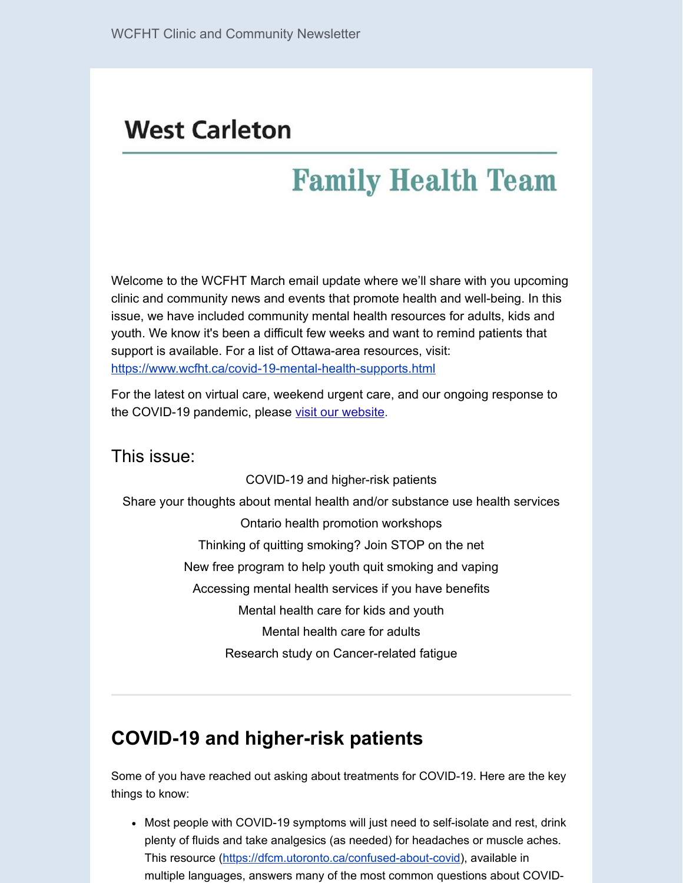# **West Carleton**

# **Family Health Team**

Welcome to the WCFHT March email update where we'll share with you upcoming clinic and community news and events that promote health and well-being. In this issue, we have included community mental health resources for adults, kids and youth. We know it's been a difficult few weeks and want to remind patients that support is available. For a list of Ottawa-area resources, visit: <https://www.wcfht.ca/covid-19-mental-health-supports.html>

For the latest on virtual care, weekend urgent care, and our ongoing response to the COVID-19 pandemic, please [visit our website.](https://www.wcfht.ca/)

#### This issue:

COVID-19 and higher-risk patients Share your thoughts about mental health and/or substance use health services Ontario health promotion workshops Thinking of quitting smoking? Join STOP on the net New free program to help youth quit smoking and vaping Accessing mental health services if you have benefits Mental health care for kids and youth Mental health care for adults Research study on Cancer-related fatigue

# **COVID-19 and higher-risk patients**

Some of you have reached out asking about treatments for COVID-19. Here are the key things to know:

• Most people with COVID-19 symptoms will just need to self-isolate and rest, drink plenty of fluids and take analgesics (as needed) for headaches or muscle aches. This resource (<https://dfcm.utoronto.ca/confused-about-covid>), available in multiple languages, answers many of the most common questions about COVID-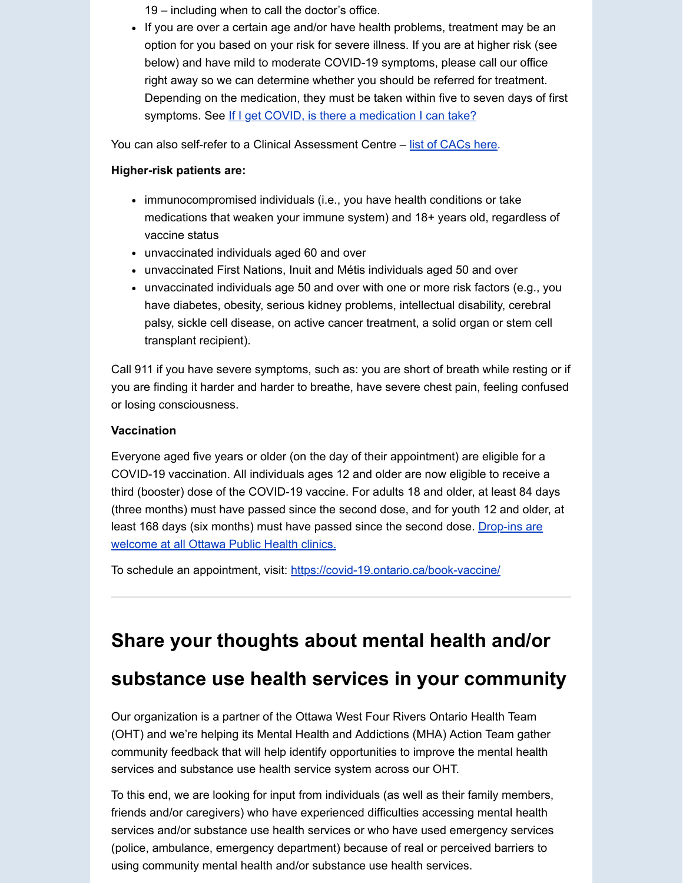19 – including when to call the doctor's office.

If you are over a certain age and/or have health problems, treatment may be an option for you based on your risk for severe illness. If you are at higher risk (see below) and have mild to moderate COVID-19 symptoms, please call our office right away so we can determine whether you should be referred for treatment. Depending on the medication, they must be taken within five to seven days of first symptoms. See [If I get COVID, is there a medication I can take?](https://dfcm.utoronto.ca/sites/default/files/assets/files/Q11_COVID_medication.pdf)

You can also self-refer to a Clinical Assessment Centre – [list of CACs here](https://covid-19.ontario.ca/assessment-centre-locations).

#### **Higher-risk patients are:**

- immunocompromised individuals (i.e., you have health conditions or take medications that weaken your immune system) and 18+ years old, regardless of vaccine status
- unvaccinated individuals aged 60 and over
- unvaccinated First Nations, Inuit and Métis individuals aged 50 and over
- unvaccinated individuals age 50 and over with one or more risk factors (e.g., you have diabetes, obesity, serious kidney problems, intellectual disability, cerebral palsy, sickle cell disease, on active cancer treatment, a solid organ or stem cell transplant recipient).

Call 911 if you have severe symptoms, such as: you are short of breath while resting or if you are finding it harder and harder to breathe, have severe chest pain, feeling confused or losing consciousness.

#### **Vaccination**

Everyone aged five years or older (on the day of their appointment) are eligible for a COVID-19 vaccination. All individuals ages 12 and older are now eligible to receive a third (booster) dose of the COVID-19 vaccine. For adults 18 and older, at least 84 days (three months) must have passed since the second dose, and for youth 12 and older, at [least 168 days \(six months\) must have passed since the second dose. Drop-ins are](https://www.ottawapublichealth.ca/en/public-health-topics/covid-19-vaccine.aspx) welcome at all Ottawa Public Health clinics.

To schedule an appointment, visit: <https://covid-19.ontario.ca/book-vaccine/>

## **Share your thoughts about mental health and/or**

### **substance use health services in your community**

Our organization is a partner of the Ottawa West Four Rivers Ontario Health Team (OHT) and we're helping its Mental Health and Addictions (MHA) Action Team gather community feedback that will help identify opportunities to improve the mental health services and substance use health service system across our OHT.

To this end, we are looking for input from individuals (as well as their family members, friends and/or caregivers) who have experienced difficulties accessing mental health services and/or substance use health services or who have used emergency services (police, ambulance, emergency department) because of real or perceived barriers to using community mental health and/or substance use health services.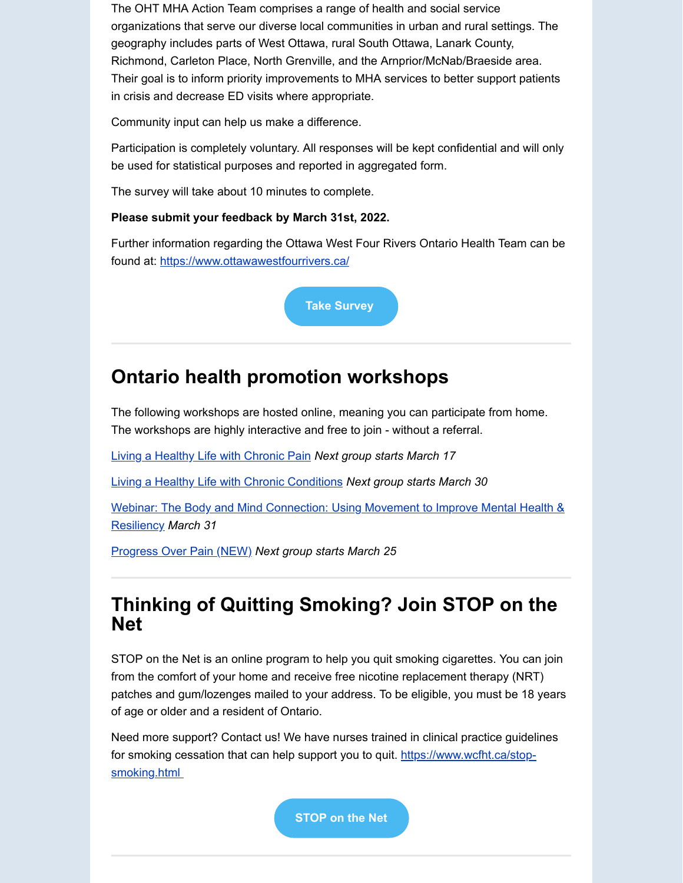The OHT MHA Action Team comprises a range of health and social service organizations that serve our diverse local communities in urban and rural settings. The geography includes parts of West Ottawa, rural South Ottawa, Lanark County, Richmond, Carleton Place, North Grenville, and the Arnprior/McNab/Braeside area. Their goal is to inform priority improvements to MHA services to better support patients in crisis and decrease ED visits where appropriate.

Community input can help us make a difference.

Participation is completely voluntary. All responses will be kept confidential and will only be used for statistical purposes and reported in aggregated form.

The survey will take about 10 minutes to complete.

#### **Please submit your feedback by March 31st, 2022.**

Further information regarding the Ottawa West Four Rivers Ontario Health Team can be found at:<https://www.ottawawestfourrivers.ca/>

**[Take Survey](https://www.surveymonkey.com/r/T7ZWNJD)**

## **Ontario health promotion workshops**

The following workshops are hosted online, meaning you can participate from home. The workshops are highly interactive and free to join - without a referral.

[Living a Healthy Life with Chronic Pain](https://www.livinghealthychamplain.ca/en/Workshops) *Next group starts March 17*

[Living a Healthy Life with Chronic Conditions](https://www.livinghealthychamplain.ca/en/Workshops) *Next group starts March 30*

[Webinar: The Body and Mind Connection: Using Movement to Improve Mental Health &](https://www.livinghealthychamplain.ca/en/Workshops) Resiliency *March 31*

[Progress Over Pain \(NEW\)](https://selfmanagementontario.ca/en/ontariosselfmanagementregistration?type=1033region=0zone=0start=0language=0) *Next group starts March 25*

### **Thinking of Quitting Smoking? Join STOP on the Net**

STOP on the Net is an online program to help you quit smoking cigarettes. You can join from the comfort of your home and receive free nicotine replacement therapy (NRT) patches and gum/lozenges mailed to your address. To be eligible, you must be 18 years of age or older and a resident of Ontario.

Need more support? Contact us! We have nurses trained in clinical practice guidelines [for smoking cessation that can help support you to quit. https://www.wcfht.ca/stop](https://www.wcfht.ca/stop-smoking.html)smoking.html

**[STOP on the Net](https://www.nicotinedependenceclinic.com/en/stop/stop-on-the-net)**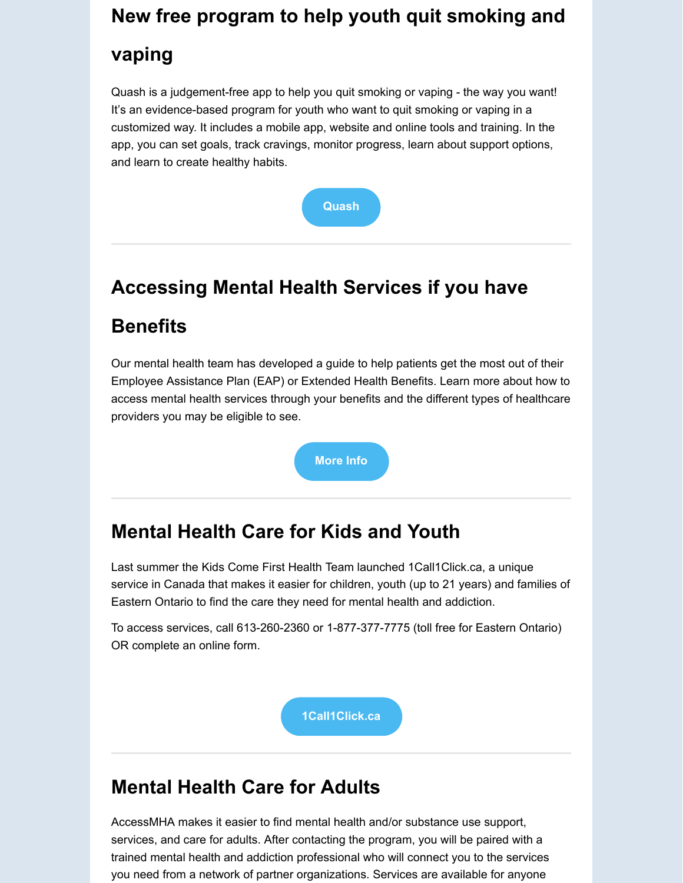# **New free program to help youth quit smoking and**

## **vaping**

Quash is a judgement-free app to help you quit smoking or vaping - the way you want! It's an evidence-based program for youth who want to quit smoking or vaping in a customized way. It includes a mobile app, website and online tools and training. In the app, you can set goals, track cravings, monitor progress, learn about support options, and learn to create healthy habits.



# **Accessing Mental Health Services if you have**

# **Benefits**

Our mental health team has developed a guide to help patients get the most out of their Employee Assistance Plan (EAP) or Extended Health Benefits. Learn more about how to access mental health services through your benefits and the different types of healthcare providers you may be eligible to see.



# **Mental Health Care for Kids and Youth**

Last summer the Kids Come First Health Team launched 1Call1Click.ca, a unique service in Canada that makes it easier for children, youth (up to 21 years) and families of Eastern Ontario to find the care they need for mental health and addiction.

To access services, call 613-260-2360 or 1-877-377-7775 (toll free for Eastern Ontario) OR complete an online form.

**[1Call1Click.ca](http://1call1click.ca/)**

# **Mental Health Care for Adults**

AccessMHA makes it easier to find mental health and/or substance use support, services, and care for adults. After contacting the program, you will be paired with a trained mental health and addiction professional who will connect you to the services you need from a network of partner organizations. Services are available for anyone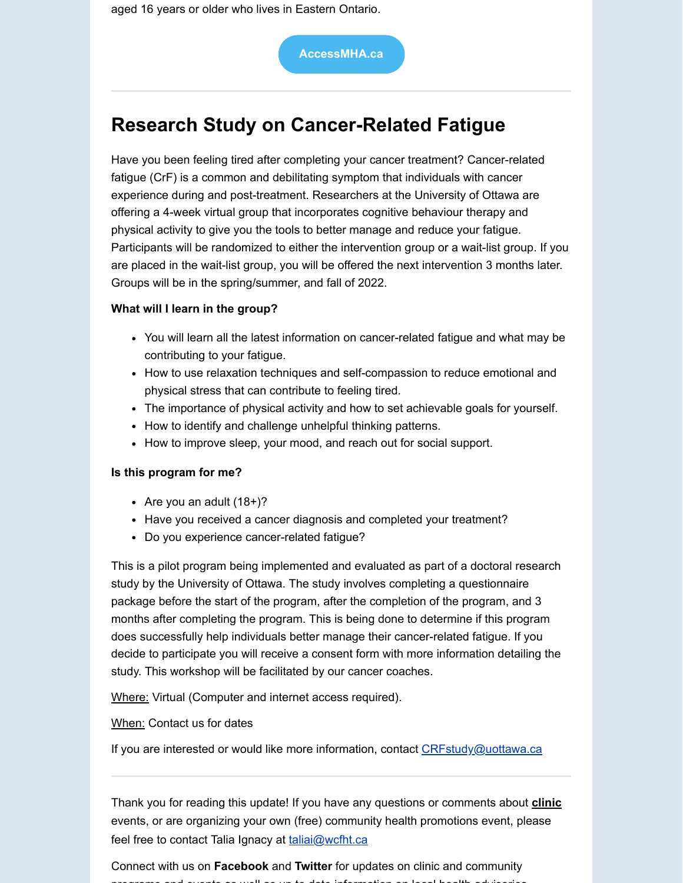aged 16 years or older who lives in Eastern Ontario.

**[AccessMHA.ca](http://accessmha.ca/)**

# **Research Study on Cancer-Related Fatigue**

Have you been feeling tired after completing your cancer treatment? Cancer-related fatigue (CrF) is a common and debilitating symptom that individuals with cancer experience during and post-treatment. Researchers at the University of Ottawa are offering a 4-week virtual group that incorporates cognitive behaviour therapy and physical activity to give you the tools to better manage and reduce your fatigue. Participants will be randomized to either the intervention group or a wait-list group. If you are placed in the wait-list group, you will be offered the next intervention 3 months later. Groups will be in the spring/summer, and fall of 2022.

#### **What will I learn in the group?**

- You will learn all the latest information on cancer-related fatigue and what may be contributing to your fatigue.
- How to use relaxation techniques and self-compassion to reduce emotional and physical stress that can contribute to feeling tired.
- The importance of physical activity and how to set achievable goals for yourself.
- How to identify and challenge unhelpful thinking patterns.
- How to improve sleep, your mood, and reach out for social support.

#### **Is this program for me?**

- Are you an adult  $(18+)$ ?
- Have you received a cancer diagnosis and completed your treatment?
- Do you experience cancer-related fatigue?

This is a pilot program being implemented and evaluated as part of a doctoral research study by the University of Ottawa. The study involves completing a questionnaire package before the start of the program, after the completion of the program, and 3 months after completing the program. This is being done to determine if this program does successfully help individuals better manage their cancer-related fatigue. If you decide to participate you will receive a consent form with more information detailing the study. This workshop will be facilitated by our cancer coaches.

Where: Virtual (Computer and internet access required).

When: Contact us for dates

If you are interested or would like more information, contact CRFstudy@uottawa.ca

Thank you for reading this update! If you have any questions or comments about **clinic** events, or are organizing your own (free) community health promotions event, please feel free to contact Talia Ignacy at [taliai@wcfht.ca](mailto:taliai@wcfht.ca)

Connect with us on **Facebook** and **Twitter** for updates on clinic and community programs and events as well as up to date information on local health advisories